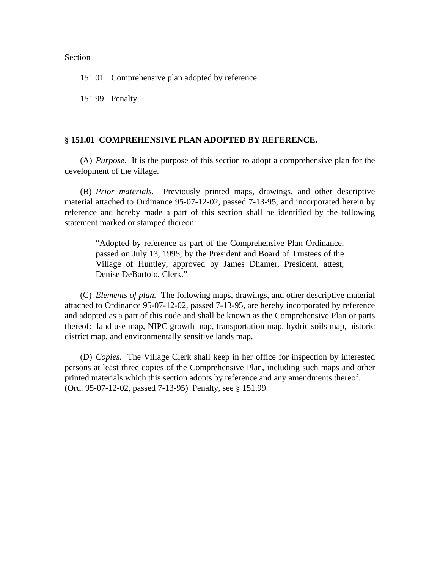## Section

151.01 Comprehensive plan adopted by reference

151.99 Penalty

## **§ 151.01 COMPREHENSIVE PLAN ADOPTED BY REFERENCE.**

(A) *Purpose.* It is the purpose of this section to adopt a comprehensive plan for the development of the village.

(B) *Prior materials.* Previously printed maps, drawings, and other descriptive material attached to Ordinance 95-07-12-02, passed 7-13-95, and incorporated herein by reference and hereby made a part of this section shall be identified by the following statement marked or stamped thereon:

"Adopted by reference as part of the Comprehensive Plan Ordinance, passed on July 13, 1995, by the President and Board of Trustees of the Village of Huntley, approved by James Dhamer, President, attest, Denise DeBartolo, Clerk."

(C) *Elements of plan.* The following maps, drawings, and other descriptive material attached to Ordinance 95-07-12-02, passed 7-13-95, are hereby incorporated by reference and adopted as a part of this code and shall be known as the Comprehensive Plan or parts thereof: land use map, NIPC growth map, transportation map, hydric soils map, historic district map, and environmentally sensitive lands map.

(D) *Copies.* The Village Clerk shall keep in her office for inspection by interested persons at least three copies of the Comprehensive Plan, including such maps and other printed materials which this section adopts by reference and any amendments thereof. (Ord. 95-07-12-02, passed 7-13-95) Penalty, see § 151.99